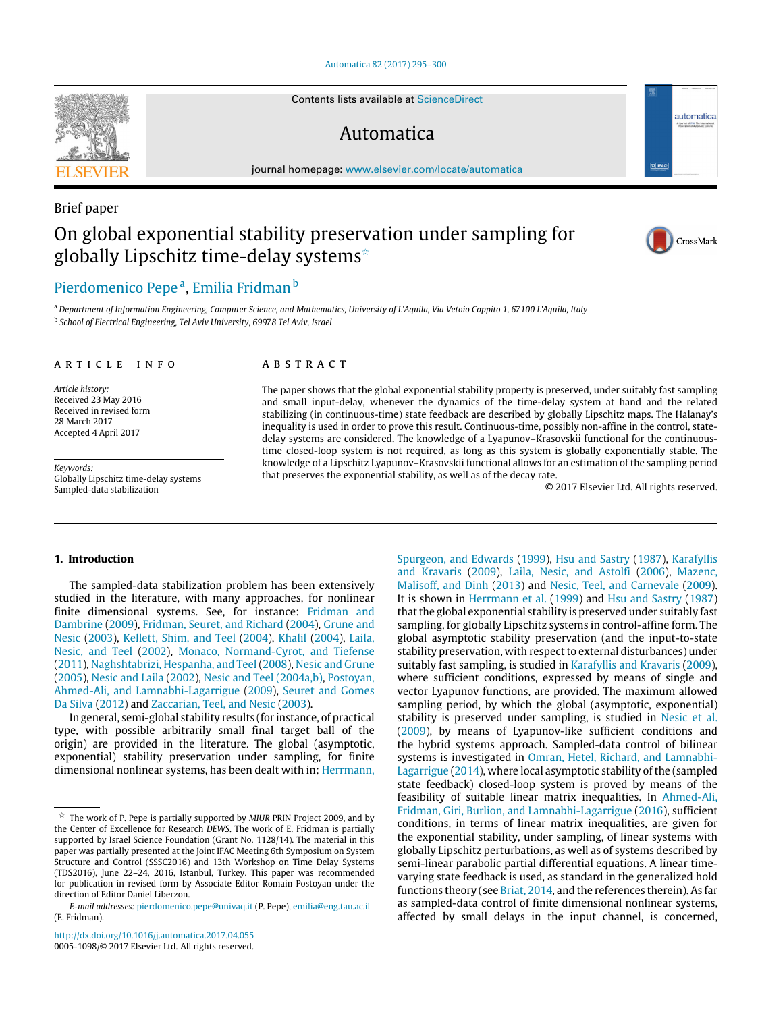[Automatica 82 \(2017\) 295–300](http://dx.doi.org/10.1016/j.automatica.2017.04.055)

Contents lists available at [ScienceDirect](http://www.elsevier.com/locate/automatica)

## Automatica

journal homepage: [www.elsevier.com/locate/automatica](http://www.elsevier.com/locate/automatica)

# Brief paper On global exponential stability preservation under sampling for globally Lipschitz time-delay systems<sup> $\hat{z}$ </sup>



 $\boxed{\nabla}$  IFA

automatica

### [Pierdomenico Pepe](#page-5-0)ª, Emili[a](#page-0-1) Fridman <sup>[b](#page-0-2)</sup>

<span id="page-0-2"></span><span id="page-0-1"></span><sup>a</sup> *Department of Information Engineering, Computer Science, and Mathematics, University of L'Aquila, Via Vetoio Coppito 1, 67100 L'Aquila, Italy* b *School of Electrical Engineering, Tel Aviv University, 69978 Tel Aviv, Israel*

#### a r t i c l e i n f o

*Article history:* Received 23 May 2016 Received in revised form 28 March 2017 Accepted 4 April 2017

*Keywords:* Globally Lipschitz time-delay systems Sampled-data stabilization

#### A B S T R A C T

The paper shows that the global exponential stability property is preserved, under suitably fast sampling and small input-delay, whenever the dynamics of the time-delay system at hand and the related stabilizing (in continuous-time) state feedback are described by globally Lipschitz maps. The Halanay's inequality is used in order to prove this result. Continuous-time, possibly non-affine in the control, statedelay systems are considered. The knowledge of a Lyapunov–Krasovskii functional for the continuoustime closed-loop system is not required, as long as this system is globally exponentially stable. The knowledge of a Lipschitz Lyapunov–Krasovskii functional allows for an estimation of the sampling period that preserves the exponential stability, as well as of the decay rate.

© 2017 Elsevier Ltd. All rights reserved.

#### **1. Introduction**

The sampled-data stabilization problem has been extensively studied in the literature, with many approaches, for nonlinear finite dimensional systems. See, for instance: [Fridman](#page-5-2) [and](#page-5-2) [Dambrine](#page-5-2) [\(2009\)](#page-5-2), [Fridman,](#page-5-3) [Seuret,](#page-5-3) [and](#page-5-3) [Richard](#page-5-3) [\(2004\)](#page-5-3), [Grune](#page-5-4) [and](#page-5-4) [Nesic](#page-5-4) [\(2003\)](#page-5-4), [Kellett,](#page-5-5) [Shim,](#page-5-5) [and](#page-5-5) [Teel](#page-5-5) [\(2004\)](#page-5-5), [Khalil](#page-5-6) [\(2004\)](#page-5-6), [Laila,](#page-5-7) [Nesic,](#page-5-7) [and](#page-5-7) [Teel](#page-5-7) [\(2002\)](#page-5-7), [Monaco,](#page-5-8) [Normand-Cyrot,](#page-5-8) [and](#page-5-8) [Tiefense](#page-5-8) [\(2011\)](#page-5-8), [Naghshtabrizi,](#page-5-9) [Hespanha,](#page-5-9) [and](#page-5-9) [Teel](#page-5-9) [\(2008\)](#page-5-9), [Nesic](#page-5-10) [and](#page-5-10) [Grune](#page-5-10) [\(2005\)](#page-5-10), [Nesic](#page-5-11) [and](#page-5-11) [Laila](#page-5-11) [\(2002\)](#page-5-11), [Nesic](#page-5-12) [and](#page-5-12) [Teel](#page-5-12) [\(2004a,b\),](#page-5-12) [Postoyan,](#page-5-13) [Ahmed-Ali,](#page-5-13) [and](#page-5-13) [Lamnabhi-Lagarrigue](#page-5-13) [\(2009\)](#page-5-13), [Seuret](#page-5-14) [and](#page-5-14) [Gomes](#page-5-14) [Da](#page-5-14) [Silva](#page-5-14) [\(2012\)](#page-5-14) and [Zaccarian,](#page-5-15) [Teel,](#page-5-15) [and](#page-5-15) [Nesic](#page-5-15) [\(2003\)](#page-5-15).

In general, semi-global stability results (for instance, of practical type, with possible arbitrarily small final target ball of the origin) are provided in the literature. The global (asymptotic, exponential) stability preservation under sampling, for finite dimensional nonlinear systems, has been dealt with in: [Herrmann,](#page-5-16)

[Spurgeon,](#page-5-16) [and](#page-5-16) [Edwards](#page-5-16) [\(1999\)](#page-5-16), [Hsu](#page-5-17) [and](#page-5-17) [Sastry](#page-5-17) [\(1987\)](#page-5-17), [Karafyllis](#page-5-18) [and](#page-5-18) [Kravaris](#page-5-18) [\(2009\)](#page-5-18), [Laila,](#page-5-19) [Nesic,](#page-5-19) [and](#page-5-19) [Astolfi](#page-5-19) [\(2006\)](#page-5-19), [Mazenc,](#page-5-20) [Malisoff,](#page-5-20) [and](#page-5-20) [Dinh](#page-5-20) [\(2013\)](#page-5-20) and [Nesic,](#page-5-21) [Teel,](#page-5-21) [and](#page-5-21) [Carnevale](#page-5-21) [\(2009\)](#page-5-21). It is shown in [Herrmann](#page-5-16) [et al.](#page-5-16) [\(1999\)](#page-5-16) and [Hsu](#page-5-17) [and](#page-5-17) [Sastry](#page-5-17) [\(1987\)](#page-5-17) that the global exponential stability is preserved under suitably fast sampling, for globally Lipschitz systems in control-affine form. The global asymptotic stability preservation (and the input-to-state stability preservation, with respect to external disturbances) under suitably fast sampling, is studied in [Karafyllis](#page-5-18) [and](#page-5-18) [Kravaris](#page-5-18) [\(2009\)](#page-5-18), where sufficient conditions, expressed by means of single and vector Lyapunov functions, are provided. The maximum allowed sampling period, by which the global (asymptotic, exponential) stability is preserved under sampling, is studied in [Nesic](#page-5-21) [et al.](#page-5-21) [\(2009\)](#page-5-21), by means of Lyapunov-like sufficient conditions and the hybrid systems approach. Sampled-data control of bilinear [s](#page-5-22)ystems is investigated in [Omran,](#page-5-22) [Hetel,](#page-5-22) [Richard,](#page-5-22) [and](#page-5-22) [Lamnabhi-](#page-5-22)[Lagarrigue](#page-5-22) [\(2014\)](#page-5-22), where local asymptotic stability of the (sampled state feedback) closed-loop system is proved by means of the feasibility of suitable linear matrix inequalities. In [Ahmed-Ali,](#page-5-23) [Fridman,](#page-5-23) [Giri,](#page-5-23) [Burlion,](#page-5-23) [and](#page-5-23) [Lamnabhi-Lagarrigue](#page-5-23) [\(2016\)](#page-5-23), sufficient conditions, in terms of linear matrix inequalities, are given for the exponential stability, under sampling, of linear systems with globally Lipschitz perturbations, as well as of systems described by semi-linear parabolic partial differential equations. A linear timevarying state feedback is used, as standard in the generalized hold functions theory (see [Briat,](#page-5-24) [2014,](#page-5-24) and the references therein). As far as sampled-data control of finite dimensional nonlinear systems, affected by small delays in the input channel, is concerned,



<span id="page-0-0"></span><sup>✩</sup> The work of P. Pepe is partially supported by *MIUR* PRIN Project 2009, and by the Center of Excellence for Research *DEWS*. The work of E. Fridman is partially supported by Israel Science Foundation (Grant No. 1128/14). The material in this paper was partially presented at the Joint IFAC Meeting 6th Symposium on System Structure and Control (SSSC2016) and 13th Workshop on Time Delay Systems (TDS2016), June 22–24, 2016, Istanbul, Turkey. This paper was recommended for publication in revised form by Associate Editor Romain Postoyan under the direction of Editor Daniel Liberzon.

*E-mail addresses:* [pierdomenico.pepe@univaq.it](mailto:pierdomenico.pepe@univaq.it) (P. Pepe), [emilia@eng.tau.ac.il](mailto:emilia@eng.tau.ac.il) (E. Fridman).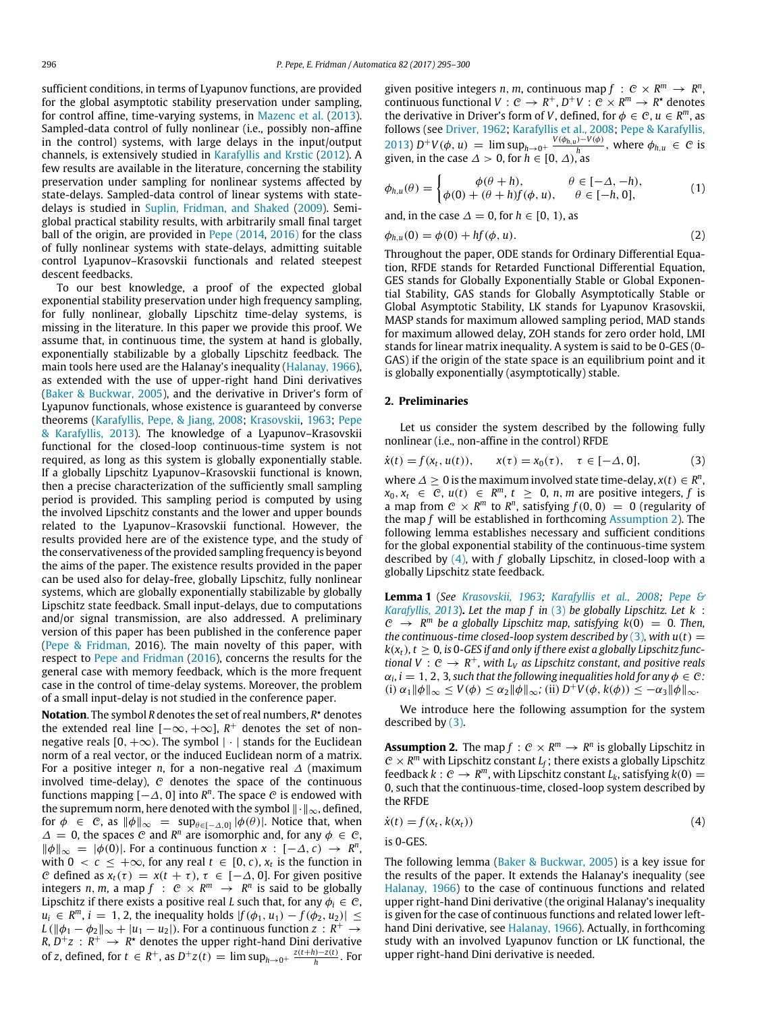sufficient conditions, in terms of Lyapunov functions, are provided for the global asymptotic stability preservation under sampling, for control affine, time-varying systems, in [Mazenc](#page-5-20) [et al.](#page-5-20) [\(2013\)](#page-5-20). Sampled-data control of fully nonlinear (i.e., possibly non-affine in the control) systems, with large delays in the input/output channels, is extensively studied in [Karafyllis](#page-5-25) [and](#page-5-25) [Krstic](#page-5-25) [\(2012\)](#page-5-25). A few results are available in the literature, concerning the stability preservation under sampling for nonlinear systems affected by state-delays. Sampled-data control of linear systems with statedelays is studied in [Suplin,](#page-5-26) [Fridman,](#page-5-26) [and](#page-5-26) [Shaked](#page-5-26) [\(2009\)](#page-5-26). Semiglobal practical stability results, with arbitrarily small final target ball of the origin, are provided in [Pepe](#page-5-27) [\(2014](#page-5-27)[,](#page-5-28) [2016\)](#page-5-28) for the class of fully nonlinear systems with state-delays, admitting suitable control Lyapunov–Krasovskii functionals and related steepest descent feedbacks.

To our best knowledge, a proof of the expected global exponential stability preservation under high frequency sampling, for fully nonlinear, globally Lipschitz time-delay systems, is missing in the literature. In this paper we provide this proof. We assume that, in continuous time, the system at hand is globally, exponentially stabilizable by a globally Lipschitz feedback. The main tools here used are the Halanay's inequality [\(Halanay,](#page-5-29) [1966\)](#page-5-29), as extended with the use of upper-right hand Dini derivatives [\(Baker](#page-5-30) [&](#page-5-30) [Buckwar,](#page-5-30) [2005\)](#page-5-30), and the derivative in Driver's form of Lyapunov functionals, whose existence is guaranteed by converse theorems [\(Karafyllis,](#page-5-31) [Pepe,](#page-5-31) [&](#page-5-31) [Jiang,](#page-5-31) [2008;](#page-5-31) [Krasovskii,](#page-5-32) [1963;](#page-5-32) [Pepe](#page-5-33) [&](#page-5-33) [Karafyllis,](#page-5-33) [2013\)](#page-5-33). The knowledge of a Lyapunov–Krasovskii functional for the closed-loop continuous-time system is not required, as long as this system is globally exponentially stable. If a globally Lipschitz Lyapunov–Krasovskii functional is known, then a precise characterization of the sufficiently small sampling period is provided. This sampling period is computed by using the involved Lipschitz constants and the lower and upper bounds related to the Lyapunov–Krasovskii functional. However, the results provided here are of the existence type, and the study of the conservativeness of the provided sampling frequency is beyond the aims of the paper. The existence results provided in the paper can be used also for delay-free, globally Lipschitz, fully nonlinear systems, which are globally exponentially stabilizable by globally Lipschitz state feedback. Small input-delays, due to computations and/or signal transmission, are also addressed. A preliminary version of this paper has been published in the conference paper [\(Pepe](#page-5-34) [&](#page-5-34) [Fridman,](#page-5-34) 2016). The main novelty of this paper, with respect to [Pepe](#page-5-34) [and](#page-5-34) [Fridman](#page-5-34) [\(2016\)](#page-5-34), concerns the results for the general case with memory feedback, which is the more frequent case in the control of time-delay systems. Moreover, the problem of a small input-delay is not studied in the conference paper.

**Notation**. The symbol *R* denotes the set of real numbers, *R* <sup>⋆</sup> denotes the extended real line  $[-\infty, +\infty]$ ,  $R^+$  denotes the set of nonnegative reals  $[0, +\infty)$ . The symbol  $|\cdot|$  stands for the Euclidean norm of a real vector, or the induced Euclidean norm of a matrix. For a positive integer *n*, for a non-negative real ∆ (maximum involved time-delay),  $C$  denotes the space of the continuous functions mapping  $[-\Delta, 0]$  into  $R^n$ . The space  $\mathcal C$  is endowed with the supremum norm, here denoted with the symbol ∥·∥∞, defined, for  $\phi \in \mathcal{C}$ , as  $\|\phi\|_{\infty} = \sup_{\theta \in [-\Delta,0]} |\phi(\theta)|$ . Notice that, when  $\Delta = 0$ , the spaces C and  $R^n$  are isomorphic and, for any  $\phi \in \mathcal{C}$ ,  $\|\phi\|_{\infty} = |\phi(0)|$ . For a continuous function *x* : [−∆, *c*) →  $R^n$ , with  $0 < c \leq +\infty$ , for any real  $t \in [0, c)$ ,  $x_t$  is the function in *C* defined as  $x_t(\tau) = x(t + \tau)$ ,  $\tau \in [-\Delta, 0]$ . For given positive integers *n*, *m*, a map  $f : \mathbb{C} \times \mathbb{R}^m \to \mathbb{R}^n$  is said to be globally Lipschitz if there exists a positive real *L* such that, for any  $\phi_i \in \mathcal{C}$ , *u*<sub>*i*</sub> ∈ *R*<sup>*m*</sup>, *i* = 1, 2, the inequality holds  $|f(\phi_1, u_1) - f(\phi_2, u_2)|$  ≤  $L(\|\phi_1 - \phi_2\|_{\infty} + |u_1 - u_2|)$ . For a continuous function  $z : R^+ \to$  $R, D^+z: R^+ \rightarrow R^*$  denotes the upper right-hand Dini derivative of *z*, defined, for  $t \in R^+$ , as  $D^+z(t) = \limsup_{h \to 0^+} \frac{z(t+h) - z(t)}{h}$ . For

given positive integers *n*, *m*, continuous map  $f : \mathcal{C} \times \mathbb{R}^m \to \mathbb{R}^n$ , continuous functional  $V: \mathcal{C} \to R^+, D^+V: \mathcal{C} \times R^m \to R^*$  denotes the derivative in Driver's form of *V*, defined, for  $\phi \in \mathcal{C}$ ,  $u \in \mathbb{R}^m$ , as follows (see [Driver,](#page-5-35) [1962;](#page-5-35) [Karafyllis](#page-5-31) [et al.,](#page-5-31) [2008;](#page-5-31) [Pepe](#page-5-33) [&](#page-5-33) [Karafyllis,](#page-5-33) [2013\)](#page-5-33)  $D^+V(\phi, u) = \limsup_{h\to 0^+} \frac{V(\phi_{h,u}) - V(\phi)}{h}$ , where  $\phi_{h,u} \in \mathcal{C}$  is given, in the case  $\Delta > 0$ , for  $h \in [0, \Delta)$ , as

<span id="page-1-4"></span>
$$
\phi_{h,u}(\theta) = \begin{cases}\n\phi(\theta + h), & \theta \in [-\Delta, -h), \\
\phi(0) + (\theta + h)f(\phi, u), & \theta \in [-h, 0],\n\end{cases}
$$
\n(1)

<span id="page-1-5"></span>and, in the case  $\Delta = 0$ , for  $h \in [0, 1)$ , as

$$
\phi_{h,u}(0) = \phi(0) + hf(\phi, u). \tag{2}
$$

Throughout the paper, ODE stands for Ordinary Differential Equation, RFDE stands for Retarded Functional Differential Equation, GES stands for Globally Exponentially Stable or Global Exponential Stability, GAS stands for Globally Asymptotically Stable or Global Asymptotic Stability, LK stands for Lyapunov Krasovskii, MASP stands for maximum allowed sampling period, MAD stands for maximum allowed delay, ZOH stands for zero order hold, LMI stands for linear matrix inequality. A system is said to be 0-GES (0- GAS) if the origin of the state space is an equilibrium point and it is globally exponentially (asymptotically) stable.

#### **2. Preliminaries**

Let us consider the system described by the following fully nonlinear (i.e., non-affine in the control) RFDE

<span id="page-1-2"></span>
$$
\dot{x}(t) = f(x_t, u(t)), \qquad x(\tau) = x_0(\tau), \quad \tau \in [-\Delta, 0], \tag{3}
$$

where  $\Delta \geq 0$  is the maximum involved state time-delay,  $x(t) \in R^n$ ,  $x_0, x_t \in \mathcal{C}, u(t) \in \mathbb{R}^m, t \geq 0, n, m$  are positive integers, f is a map from  $C \times R^m$  to  $R^n$ , satisfying  $f(0, 0) = 0$  (regularity of the map *f* will be established in forthcoming [Assumption 2\)](#page-1-0). The following lemma establishes necessary and sufficient conditions for the global exponential stability of the continuous-time system described by [\(4\),](#page-1-1) with *f* globally Lipschitz, in closed-loop with a globally Lipschitz state feedback.

<span id="page-1-3"></span>**Lemma 1** (*See [Krasovskii,](#page-5-32) [1963;](#page-5-32) [Karafyllis](#page-5-31) [et al.,](#page-5-31) [2008;](#page-5-31) [Pepe](#page-5-33) [&](#page-5-33) [Karafyllis,](#page-5-33) [2013](#page-5-33)*)**.** *Let the map f in* [\(3\)](#page-1-2) *be globally Lipschitz. Let k* :  $C \rightarrow R^m$  be a globally Lipschitz map, satisfying  $k(0) = 0$ . Then, *the continuous-time closed-loop system described by*  $(3)$ *, with u(t)* =  $k(x_t)$ ,  $t \geq 0$ , is 0-GES if and only if there exist a globally Lipschitz func*tional*  $V : \mathcal{C} \to \mathbb{R}^+$ , with  $L_V$  as Lipschitz constant, and positive reals  $\alpha_i$ ,  $i = 1, 2, 3$ , such that the following inequalities hold for any  $\phi \in \mathcal{C}$ :  $(i) \alpha_1 \|\phi\|_{\infty} \le V(\phi) \le \alpha_2 \|\phi\|_{\infty}$ ; (ii)  $D^+V(\phi, k(\phi)) \le -\alpha_3 \|\phi\|_{\infty}$ .

We introduce here the following assumption for the system described by [\(3\).](#page-1-2)

<span id="page-1-0"></span>**Assumption 2.** The map  $f: \mathbb{C} \times \mathbb{R}^m \to \mathbb{R}^n$  is globally Lipschitz in  $C \times R^m$  with Lipschitz constant  $L_f$ ; there exists a globally Lipschitz feedback  $k: \mathcal{C} \to \mathcal{R}^m$ , with Lipschitz constant  $L_k$ , satisfying  $k(0) =$ 0, such that the continuous-time, closed-loop system described by the RFDE

$$
\dot{x}(t) = f(x_t, k(x_t))
$$
\n(4)

<span id="page-1-1"></span>is 0-GES.

The following lemma [\(Baker](#page-5-30) [&](#page-5-30) [Buckwar,](#page-5-30) [2005\)](#page-5-30) is a key issue for the results of the paper. It extends the Halanay's inequality (see [Halanay,](#page-5-29) [1966\)](#page-5-29) to the case of continuous functions and related upper right-hand Dini derivative (the original Halanay's inequality is given for the case of continuous functions and related lower lefthand Dini derivative, see [Halanay,](#page-5-29) [1966\)](#page-5-29). Actually, in forthcoming study with an involved Lyapunov function or LK functional, the upper right-hand Dini derivative is needed.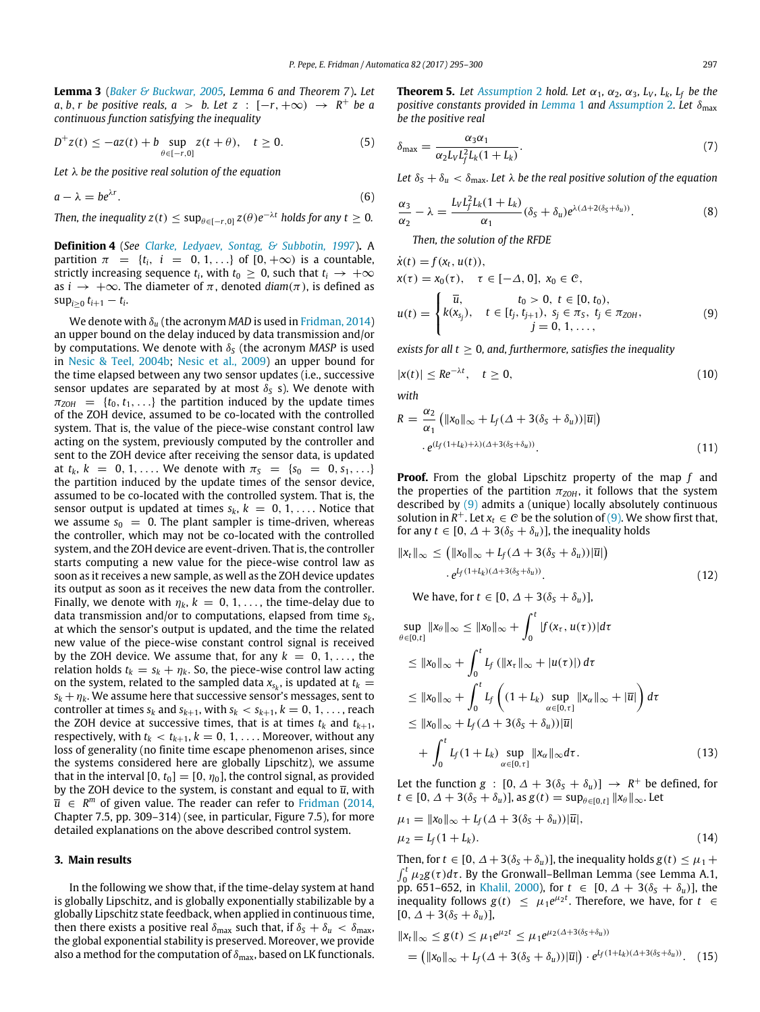<span id="page-2-2"></span>**Lemma 3** (*[Baker](#page-5-30) [&](#page-5-30) [Buckwar,](#page-5-30) [2005,](#page-5-30) Lemma 6 and Theorem 7*)**.** *Let a*, *b*, *r be positive reals, a* > *b.* Let  $z : [-r, +\infty) \rightarrow R^+$  *be a continuous function satisfying the inequality*

$$
D^{+}z(t) \le -az(t) + b \sup_{\theta \in [-r,0]} z(t + \theta), \quad t \ge 0.
$$
 (5)

*Let* λ *be the positive real solution of the equation*

$$
a - \lambda = b e^{\lambda r}.\tag{6}
$$

*Then, the inequality z*(*t*)  $\leq$  sup $_{\theta \in [-r,0]}$   $z(\theta)e^{-\lambda t}$  holds for any  $t \geq 0$ .

**Definition 4** (*See [Clarke,](#page-5-36) [Ledyaev,](#page-5-36) [Sontag,](#page-5-36) [&](#page-5-36) [Subbotin,](#page-5-36) [1997](#page-5-36)*)**.** A partition  $\pi = \{t_i, i = 0, 1, \ldots\}$  of  $[0, +\infty)$  is a countable, strictly increasing sequence  $t_i$ , with  $t_0 \geq 0$ , such that  $t_i \rightarrow +\infty$ as  $i \rightarrow +\infty$ . The diameter of  $\pi$ , denoted  $diam(\pi)$ , is defined as  $sup_{i \geq 0} t_{i+1} - t_i$ .

We denote with δ*<sup>u</sup>* (the acronym *MAD* is used in [Fridman,](#page-5-37) [2014\)](#page-5-37) an upper bound on the delay induced by data transmission and/or by computations. We denote with δ*<sup>S</sup>* (the acronym *MASP* is used in [Nesic](#page-5-38) [&](#page-5-38) [Teel,](#page-5-38) [2004b;](#page-5-38) [Nesic](#page-5-21) [et al.,](#page-5-21) [2009\)](#page-5-21) an upper bound for the time elapsed between any two sensor updates (i.e., successive sensor updates are separated by at most  $\delta_S$  s). We denote with  $\pi_{ZOH}$  = { $t_0, t_1, \ldots$ } the partition induced by the update times of the ZOH device, assumed to be co-located with the controlled system. That is, the value of the piece-wise constant control law acting on the system, previously computed by the controller and sent to the ZOH device after receiving the sensor data, is updated at  $t_k$ ,  $k = 0, 1, \ldots$  We denote with  $\pi_s = \{s_0 = 0, s_1, \ldots\}$ the partition induced by the update times of the sensor device, assumed to be co-located with the controlled system. That is, the sensor output is updated at times  $s_k$ ,  $k = 0, 1, \ldots$ . Notice that we assume  $s_0 = 0$ . The plant sampler is time-driven, whereas the controller, which may not be co-located with the controlled system, and the ZOH device are event-driven. That is, the controller starts computing a new value for the piece-wise control law as soon as it receives a new sample, as well as the ZOH device updates its output as soon as it receives the new data from the controller. Finally, we denote with  $\eta_k$ ,  $k = 0, 1, \ldots$ , the time-delay due to data transmission and/or to computations, elapsed from time *sk*, at which the sensor's output is updated, and the time the related new value of the piece-wise constant control signal is received by the ZOH device. We assume that, for any  $k = 0, 1, \ldots$ , the relation holds  $t_k = s_k + \eta_k$ . So, the piece-wise control law acting on the system, related to the sampled data  $x_{s_k}$ , is updated at  $t_k =$  $s_k + \eta_k$ . We assume here that successive sensor's messages, sent to controller at times  $s_k$  and  $s_{k+1}$ , with  $s_k < s_{k+1}$ ,  $k = 0, 1, \ldots$ , reach the ZOH device at successive times, that is at times  $t_k$  and  $t_{k+1}$ , respectively, with  $t_k < t_{k+1}$ ,  $k = 0, 1, \ldots$ . Moreover, without any loss of generality (no finite time escape phenomenon arises, since the systems considered here are globally Lipschitz), we assume that in the interval  $[0, t_0] = [0, \eta_0]$ , the control signal, as provided by the ZOH device to the system, is constant and equal to  $\bar{u}$ , with  $\bar{u}$   $\in$  *R*<sup>*m*</sup> of given value. The reader can refer to [Fridman](#page-5-37) [\(2014,](#page-5-37) Chapter 7.5, pp. 309–314) (see, in particular, Figure 7.5), for more detailed explanations on the above described control system.

#### **3. Main results**

In the following we show that, if the time-delay system at hand is globally Lipschitz, and is globally exponentially stabilizable by a globally Lipschitz state feedback, when applied in continuous time, then there exists a positive real  $\delta_{\text{max}}$  such that, if  $\delta_{\text{S}} + \delta_{u} < \delta_{\text{max}}$ , the global exponential stability is preserved. Moreover, we provide also a method for the computation of  $\delta_{\text{max}}$ , based on LK functionals. <span id="page-2-3"></span>**Theorem 5.** Let *[Assumption](#page-1-0)* 2 *hold. Let*  $\alpha_1$ ,  $\alpha_2$ ,  $\alpha_3$ ,  $L_V$ ,  $L_k$ ,  $L_f$  *be the positive constants provided in [Lemma](#page-1-3)* 1 *and [Assumption](#page-1-0)* 2*. Let* δmax *be the positive real*

<span id="page-2-4"></span>
$$
\delta_{\max} = \frac{\alpha_3 \alpha_1}{\alpha_2 L_V L_f^2 L_k (1 + L_k)}.
$$
\n(7)

Let  $\delta_S + \delta_u < \delta_{\text{max}}$ . Let  $\lambda$  be the real positive solution of the equation

$$
\frac{\alpha_3}{\alpha_2} - \lambda = \frac{L_V L_f^2 L_k (1 + L_k)}{\alpha_1} (\delta_S + \delta_u) e^{\lambda (\Delta + 2(\delta_S + \delta_u))}.
$$
 (8)

<span id="page-2-5"></span><span id="page-2-0"></span>*Then, the solution of the RFDE*

$$
\dot{x}(t) = f(x_t, u(t)),
$$
\n
$$
x(\tau) = x_0(\tau), \quad \tau \in [-\Delta, 0], \ x_0 \in \mathcal{C},
$$
\n
$$
u(t) = \begin{cases}\n\bar{u}, & t_0 > 0, \ t \in [0, t_0), \\
k(x_{s_j}), & t \in [t_j, t_{j+1}), \ s_j \in \pi_S, \ t_j \in \pi_{ZOH}, \\
j = 0, 1, \dots,\n\end{cases}
$$
\n(9)

*exists for all t*  $\geq$  0, and, furthermore, satisfies the inequality

$$
|x(t)| \le Re^{-\lambda t}, \quad t \ge 0,
$$
\n(10)

*with*

$$
R = \frac{\alpha_2}{\alpha_1} \left( \|x_0\|_{\infty} + L_f(\Delta + 3(\delta_S + \delta_u))|\overline{u}|\right)
$$

$$
\cdot e^{(L_f(1+L_k)+\lambda)(\Delta + 3(\delta_S + \delta_u))}.
$$
 (11)

**Proof.** From the global Lipschitz property of the map *f* and the properties of the partition  $\pi_{ZOH}$ , it follows that the system described by  $(9)$  admits a (unique) locally absolutely continuous solution in  $R^+$ . Let  $x_t \in C$  be the solution of [\(9\).](#page-2-0) We show first that, for any  $t \in [0, \Delta + 3(\delta_S + \delta_u)]$ , the inequality holds

$$
||x_t||_{\infty} \le (||x_0||_{\infty} + L_f(\Delta + 3(\delta_S + \delta_u))|\overline{u}|)
$$
  
.  $e^{L_f(1+L_k)(\Delta + 3(\delta_S + \delta_u))}$ . (12)

<span id="page-2-1"></span>We have, for  $t \in [0, \Delta + 3(\delta_S + \delta_u)],$ 

$$
\sup_{\theta \in [0,t]} \|x_{\theta}\|_{\infty} \le \|x_0\|_{\infty} + \int_0^t |f(x_{\tau}, u(\tau))| d\tau
$$
\n
$$
\le \|x_0\|_{\infty} + \int_0^t L_f (||x_{\tau}||_{\infty} + |u(\tau)|) d\tau
$$
\n
$$
\le ||x_0||_{\infty} + \int_0^t L_f ( (1 + L_k) \sup_{\alpha \in [0,\tau]} ||x_{\alpha}||_{\infty} + |\overline{u}| ) d\tau
$$
\n
$$
\le ||x_0||_{\infty} + L_f (\Delta + 3(\delta_S + \delta_u)) |\overline{u}|
$$
\n
$$
+ \int_0^t L_f (1 + L_k) \sup_{\alpha \in [0,\tau]} ||x_{\alpha}||_{\infty} d\tau. \tag{13}
$$

Let the function  $g : [0, \Delta + 3(\delta_S + \delta_u)] \rightarrow R^+$  be defined, for  $t \in [0, \Delta + 3(\delta_{\mathsf{S}} + \delta_{\mathsf{u}})]$ , as  $g(t) = \sup_{\theta \in [0, t]} ||x_{\theta}||_{\infty}$ . Let

$$
\mu_1 = ||x_0||_{\infty} + L_f(\Delta + 3(\delta_S + \delta_u))|\overline{u}|,
$$
  
\n
$$
\mu_2 = L_f(1 + L_k).
$$
\n(14)

Then, for  $t \in [0, \Delta + 3(\delta_s + \delta_u)]$ , the inequality holds  $g(t) \leq \mu_1 +$  $\int_0^t \mu_2 g(\tau) d\tau$ . By the Gronwall–Bellman Lemma (see Lemma A.1, pp. 651–652, in [Khalil,](#page-5-39) [2000\)](#page-5-39), for  $t \in [0, \Delta + 3(\delta_S + \delta_u)]$ , the inequality follows  $g(t) \leq \mu_1 e^{\mu_2 t}$ . Therefore, we have, for  $t \in$  $[0, \Delta + 3(\delta_{\mathcal{S}} + \delta_u)],$ 

$$
||x_t||_{\infty} \le g(t) \le \mu_1 e^{\mu_2 t} \le \mu_1 e^{\mu_2(\Delta + 3(\delta_S + \delta_u))}
$$
  
=  $(||x_0||_{\infty} + L_f(\Delta + 3(\delta_S + \delta_u))|\overline{u}|) \cdot e^{L_f(1 + L_k(\Delta + 3(\delta_S + \delta_u))}.$  (15)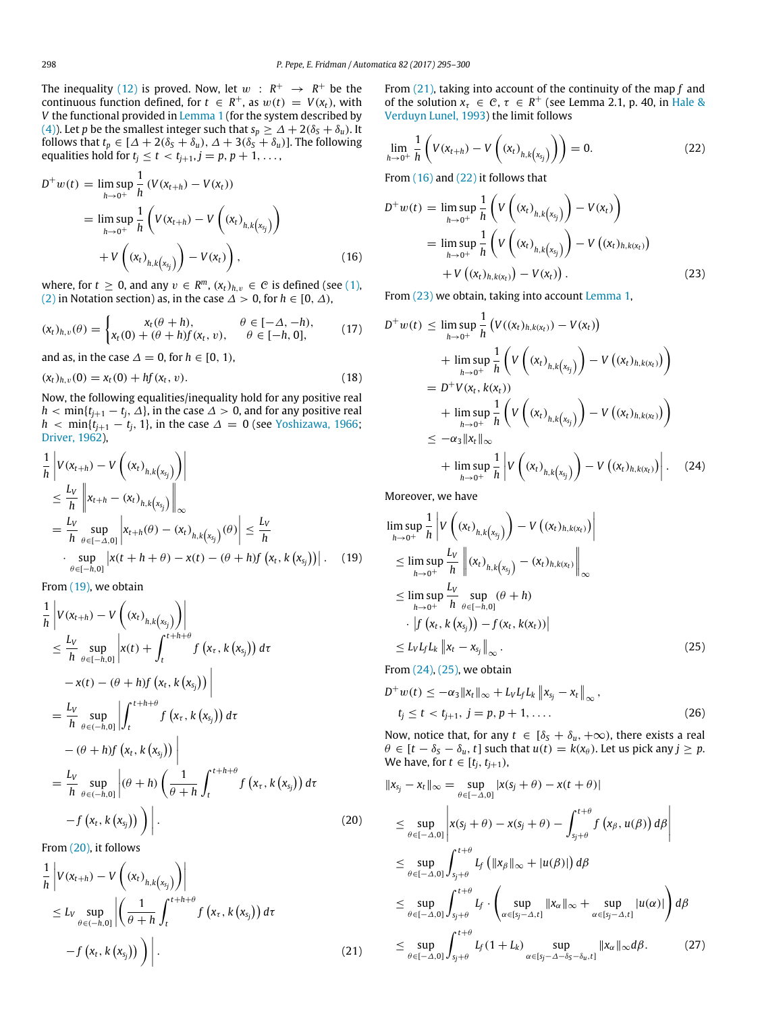The inequality [\(12\)](#page-2-1) is proved. Now, let  $w$  :  $R^+$   $\rightarrow$   $R^+$  be the continuous function defined, for  $t \in R^+$ , as  $w(t) = V(x_t)$ , with *V* the functional provided in [Lemma 1](#page-1-3) (for the system described by [\(4\)\)](#page-1-1). Let *p* be the smallest integer such that  $s_p \geq \Delta + 2(\delta_s + \delta_u)$ . It follows that  $t_p \in [\Delta + 2(\delta_s + \delta_u), \Delta + 3(\delta_s + \delta_u)].$  The following equalities hold for  $t_i \le t < t_{i+1}, j = p, p + 1, \ldots$ ,

$$
D^{+} w(t) = \limsup_{h \to 0^{+}} \frac{1}{h} (V(x_{t+h}) - V(x_{t}))
$$
  
= 
$$
\limsup_{h \to 0^{+}} \frac{1}{h} \left( V(x_{t+h}) - V \left( (x_{t})_{h,k(x_{j})} \right) + V \left( (x_{t})_{h,k(x_{j})} \right) - V(x_{t}) \right),
$$
 (16)

where, for  $t \geq 0$ , and any  $v \in R^m$ ,  $(x_t)_{h,v} \in C$  is defined (see [\(1\),](#page-1-4) [\(2\)](#page-1-5) in Notation section) as, in the case  $\Delta > 0$ , for  $h \in [0, \Delta)$ ,

$$
(x_t)_{h,v}(\theta) = \begin{cases} x_t(\theta + h), & \theta \in [-\Delta, -h), \\ x_t(0) + (\theta + h)f(x_t, v), & \theta \in [-h, 0], \end{cases}
$$
(17)

and as, in the case  $\Delta = 0$ , for  $h \in [0, 1)$ ,

 $(x_t)_{h, v}(0) = x_t(0) + hf(x_t, v).$  (18)

Now, the following equalities/inequality hold for any positive real  $h < min\{t_{j+1} - t_j, \Delta\}$ , in the case  $\Delta > 0$ , and for any positive real *h* < min $\{t_{j+1} - t_j, 1\}$ , in the case  $\Delta = 0$  (see [Yoshizawa,](#page-5-40) [1966;](#page-5-40) [Driver,](#page-5-35) [1962\)](#page-5-35),

$$
\frac{1}{h} \left| V(x_{t+h}) - V\left( (x_t)_{h,k(x_{s_j})} \right) \right|
$$
\n
$$
\leq \frac{L_V}{h} \left\| x_{t+h} - (x_t)_{h,k(x_{s_j})} \right\|_{\infty}
$$
\n
$$
= \frac{L_V}{h} \sup_{\theta \in [-\Delta,0]} \left| x_{t+h}(\theta) - (x_t)_{h,k(x_{s_j})}(\theta) \right| \leq \frac{L_V}{h}
$$
\n
$$
\cdot \sup_{\theta \in [-h,0]} \left| x(t+h+\theta) - x(t) - (\theta+h)f\left( x_t, k(x_{s_j}) \right) \right|. \tag{19}
$$

From [\(19\),](#page-3-0) we obtain

$$
\frac{1}{h} \left| V(x_{t+h}) - V\left((x_t)_{h,k(x_j)}\right) \right|
$$
\n
$$
\leq \frac{L_V}{h} \sup_{\theta \in [-h,0]} \left| x(t) + \int_t^{t+h+\theta} f\left(x_\tau, k\left(x_{s_j}\right)\right) d\tau
$$
\n
$$
-x(t) - (\theta + h)f\left(x_t, k\left(x_{s_j}\right)\right) \right|
$$
\n
$$
= \frac{L_V}{h} \sup_{\theta \in (-h,0]} \left| \int_t^{t+h+\theta} f\left(x_\tau, k\left(x_{s_j}\right)\right) d\tau
$$
\n
$$
- (\theta + h)f\left(x_t, k\left(x_{s_j}\right)\right) \right|
$$
\n
$$
= \frac{L_V}{h} \sup_{\theta \in (-h,0]} \left| (\theta + h) \left( \frac{1}{\theta + h} \int_t^{t+h+\theta} f\left(x_\tau, k\left(x_{s_j}\right)\right) d\tau \right|
$$
\n
$$
-f\left(x_t, k\left(x_{s_j}\right)\right) \right|.
$$
\n(20)

From [\(20\),](#page-3-1) it follows

$$
\frac{1}{h} \left| V(x_{t+h}) - V\left( (x_t)_{h,k(x_{s_j})} \right) \right|
$$
\n
$$
\leq L_V \sup_{\theta \in (-h,0]} \left| \left( \frac{1}{\theta + h} \int_t^{t+h+\theta} f\left( x_\tau, k\left( x_{s_j} \right) \right) d\tau \right|
$$
\n
$$
-f\left( x_t, k\left( x_{s_j} \right) \right) \right|.
$$
\n(21)

From [\(21\),](#page-3-2) taking into account of the continuity of the map *f* and of the solution  $x_{\tau} \in C$ ,  $\tau \in R^+$  (see Lemma 2.1, p. 40, in [Hale](#page-5-41) [&](#page-5-41) [Verduyn](#page-5-41) [Lunel,](#page-5-41) [1993\)](#page-5-41) the limit follows

$$
\lim_{h \to 0^+} \frac{1}{h} \left( V(x_{t+h}) - V\left( (x_t)_{h,k\left(x_{s_j}\right)} \right) \right) = 0. \tag{22}
$$

From [\(16\)](#page-3-3) and [\(22\)](#page-3-4) it follows that

<span id="page-3-3"></span>
$$
D^{+}w(t) = \lim_{h \to 0^{+}} \sup_{h} \frac{1}{h} \left( V \left( (x_{t})_{h,k(x_{s_{j}})} \right) - V(x_{t}) \right)
$$
  
= 
$$
\lim_{h \to 0^{+}} \sup_{h} \frac{1}{h} \left( V \left( (x_{t})_{h,k(x_{s_{j}})} \right) - V \left( (x_{t})_{h,k(x_{t})} \right) + V \left( (x_{t})_{h,k(x_{t})} \right) - V(x_{t}) \right).
$$
 (23)

From [\(23\)](#page-3-5) we obtain, taking into account [Lemma 1,](#page-1-3)

<span id="page-3-6"></span><span id="page-3-5"></span><span id="page-3-4"></span> $\overline{a}$ 

$$
D^{+} w(t) \leq \limsup_{h \to 0^{+}} \frac{1}{h} \left( V((x_{t})_{h,k(x_{t})}) - V(x_{t}) \right)
$$
  
+ 
$$
\limsup_{h \to 0^{+}} \frac{1}{h} \left( V \left( (x_{t})_{h,k(x_{j})} \right) - V \left( (x_{t})_{h,k(x_{t})} \right) \right)
$$
  
= 
$$
D^{+} V(x_{t}, k(x_{t}))
$$
  
+ 
$$
\limsup_{h \to 0^{+}} \frac{1}{h} \left( V \left( (x_{t})_{h,k(x_{j})} \right) - V \left( (x_{t})_{h,k(x_{t})} \right) \right)
$$
  

$$
\leq -\alpha_{3} ||x_{t}||_{\infty}
$$
  
+ 
$$
\limsup_{h \to 0^{+}} \frac{1}{h} \left| V \left( (x_{t})_{h,k(x_{s_{j}})} \right) - V \left( (x_{t})_{h,k(x_{t})} \right) \right|.
$$
 (24)

Moreover, we have

<span id="page-3-0"></span>
$$
\limsup_{h \to 0^{+}} \frac{1}{h} \left| V\left((x_{t})_{h,k(x_{j})}\right) - V\left((x_{t})_{h,k(x_{t})}\right) \right|
$$
\n
$$
\leq \limsup_{h \to 0^{+}} \frac{L_{V}}{h} \left\| (x_{t})_{h,k(x_{j})} - (x_{t})_{h,k(x_{t})} \right\|_{\infty}
$$
\n
$$
\leq \limsup_{h \to 0^{+}} \frac{L_{V}}{h} \sup_{\theta \in [-h,0]} (\theta + h)
$$
\n
$$
\cdot \left| f\left(x_{t}, k\left(x_{s_{j}}\right)\right) - f(x_{t}, k(x_{t})) \right|
$$
\n
$$
\leq L_{V} L_{f} L_{k} \left\| x_{t} - x_{s_{j}} \right\|_{\infty} .
$$
\n(25)

<span id="page-3-7"></span>From [\(24\),](#page-3-6) [\(25\),](#page-3-7) we obtain

<span id="page-3-9"></span>
$$
D^{+} w(t) \leq -\alpha_{3} \|x_{t}\|_{\infty} + L_{V} L_{f} L_{k} \|x_{s_{j}} - x_{t}\|_{\infty},
$$
  
\n
$$
t_{j} \leq t < t_{j+1}, j = p, p + 1, ....
$$
\n(26)

Now, notice that, for any  $t \in [\delta_S + \delta_u, +\infty)$ , there exists a real  $\theta \in [t - \delta_S - \delta_u, t]$  such that  $u(t) = k(x_\theta)$ . Let us pick any  $j \geq p$ . We have, for  $t \in [t_i, t_{i+1})$ ,

<span id="page-3-8"></span><span id="page-3-2"></span><span id="page-3-1"></span>
$$
\|x_{s_j} - x_t\|_{\infty} = \sup_{\theta \in [-\Delta, 0]} |x(s_j + \theta) - x(t + \theta)|
$$
  
\n
$$
\leq \sup_{\theta \in [-\Delta, 0]} \left| x(s_j + \theta) - x(s_j + \theta) - \int_{s_j + \theta}^{t + \theta} f(x_{\beta}, u(\beta)) d\beta \right|
$$
  
\n
$$
\leq \sup_{\theta \in [-\Delta, 0]} \int_{s_j + \theta}^{t + \theta} L_f (||x_{\beta}||_{\infty} + |u(\beta)|) d\beta
$$
  
\n
$$
\leq \sup_{\theta \in [-\Delta, 0]} \int_{s_j + \theta}^{t + \theta} L_f \cdot \left( \sup_{\alpha \in [s_j - \Delta, t]} ||x_{\alpha}||_{\infty} + \sup_{\alpha \in [s_j - \Delta, t]} |u(\alpha)| \right) d\beta
$$
  
\n
$$
\leq \sup_{\theta \in [-\Delta, 0]} \int_{s_j + \theta}^{t + \theta} L_f (1 + L_k) \sup_{\alpha \in [s_j - \Delta - \delta_S - \delta_u, t]} ||x_{\alpha}||_{\infty} d\beta. \tag{27}
$$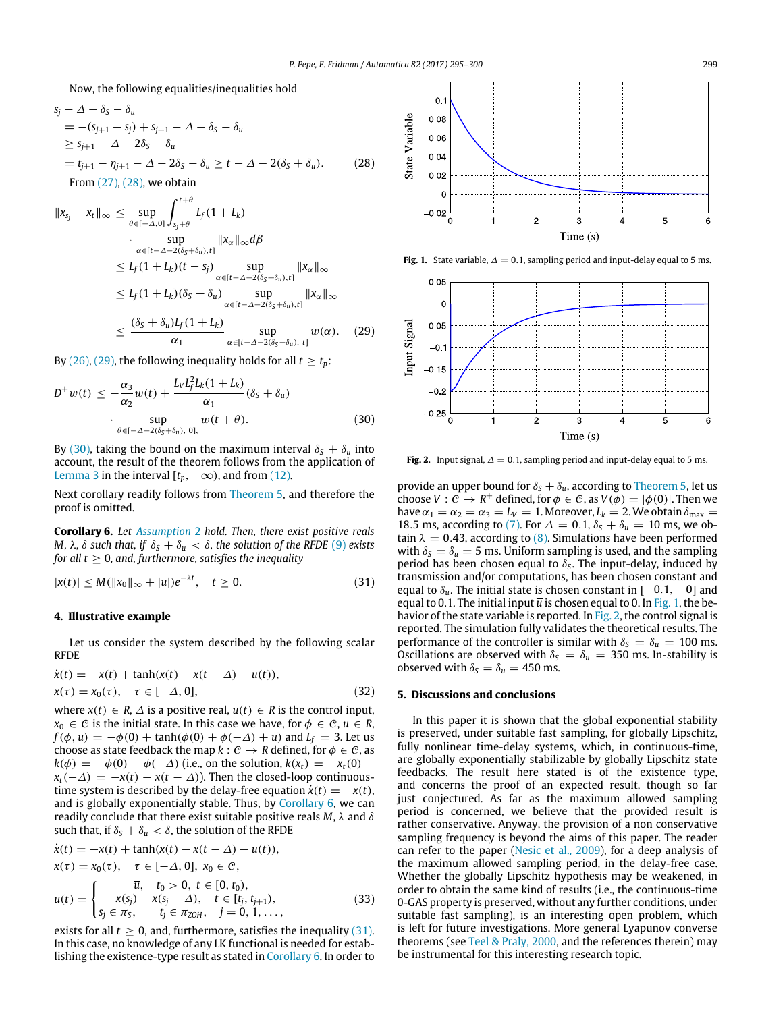Now, the following equalities/inequalities hold

$$
s_j - \Delta - \delta_S - \delta_u
$$
  
= - (s\_{j+1} - s\_j) + s\_{j+1} - \Delta - \delta\_S - \delta\_u  
\ge s\_{j+1} - \Delta - 2\delta\_S - \delta\_u  
= t\_{j+1} - \eta\_{j+1} - \Delta - 2\delta\_S - \delta\_u \ge t - \Delta - 2(\delta\_S + \delta\_u). (28)

From [\(27\),](#page-3-8) [\(28\),](#page-4-0) we obtain

$$
||x_{s_j} - x_t||_{\infty} \le \sup_{\theta \in [-\Delta, 0]} \int_{s_j + \theta}^{t + \theta} L_f(1 + L_k)
$$
  
\n
$$
\cdot \sup_{\alpha \in [t - \Delta - 2(\delta_S + \delta_u), t]} ||x_{\alpha}||_{\infty} d\beta
$$
  
\n
$$
\le L_f(1 + L_k)(t - s_j) \sup_{\alpha \in [t - \Delta - 2(\delta_S + \delta_u), t]} ||x_{\alpha}||_{\infty}
$$
  
\n
$$
\le L_f(1 + L_k)(\delta_S + \delta_u) \sup_{\alpha \in [t - \Delta - 2(\delta_S + \delta_u), t]} ||x_{\alpha}||_{\infty}
$$
  
\n
$$
\le \frac{(\delta_S + \delta_u)L_f(1 + L_k)}{\alpha_1} \sup_{\alpha \in [t - \Delta - 2(\delta_S - \delta_u), t]} w(\alpha). \quad (29)
$$

By [\(26\),](#page-3-9) [\(29\),](#page-4-1) the following inequality holds for all  $t \ge t_p$ :

$$
D^+w(t) \le -\frac{\alpha_3}{\alpha_2}w(t) + \frac{L_VL_f^2L_k(1+L_k)}{\alpha_1}(\delta_S + \delta_u)
$$
  
 
$$
\cdot \sup_{\theta \in [-\Delta - 2(\delta_S + \delta_u), 0],} w(t + \theta). \tag{30}
$$

By [\(30\),](#page-4-2) taking the bound on the maximum interval  $\delta_S + \delta_u$  into account, the result of the theorem follows from the application of [Lemma 3](#page-2-2) in the interval  $[t_p, +\infty)$ , and from [\(12\).](#page-2-1)

Next corollary readily follows from [Theorem 5,](#page-2-3) and therefore the proof is omitted.

<span id="page-4-3"></span>**Corollary 6.** *Let [Assumption](#page-1-0)* 2 *hold. Then, there exist positive reals M,*  $λ$ *,*  $δ$  *such that, if*  $δ<sub>S</sub> + δ<sub>u</sub> < δ$ *, the solution of the RFDE* [\(9\)](#page-2-0) *exists for all t*  $\geq$  0, and, furthermore, satisfies the inequality

$$
|x(t)| \le M(\|x_0\|_{\infty} + |\overline{u}|)e^{-\lambda t}, \quad t \ge 0.
$$
 (31)

#### **4. Illustrative example**

Let us consider the system described by the following scalar RFDE

$$
\dot{x}(t) = -x(t) + \tanh(x(t) + x(t - \Delta) + u(t)), x(\tau) = x_0(\tau), \quad \tau \in [-\Delta, 0],
$$
\n(32)

where  $x(t) \in R$ ,  $\Delta$  is a positive real,  $u(t) \in R$  is the control input,  $x_0 \in C$  is the initial state. In this case we have, for  $\phi \in C$ ,  $u \in R$ ,  $f(\phi, u) = -\phi(0) + \tanh(\phi(0) + \phi(-\Delta) + u)$  and  $L_f = 3$ . Let us choose as state feedback the map  $k: \mathcal{C} \to \mathbb{R}$  defined, for  $\phi \in \mathcal{C}$ , as  $k(\phi) = -\phi(0) - \phi(-\Delta)$  (i.e., on the solution,  $k(x_t) = -x_t(0)$  $x_t(-\Delta) = -x(t) - x(t - \Delta)$ . Then the closed-loop continuoustime system is described by the delay-free equation  $\dot{x}(t) = -x(t)$ , and is globally exponentially stable. Thus, by [Corollary 6,](#page-4-3) we can readily conclude that there exist suitable positive reals *M*, λ and δ such that, if  $\delta_S + \delta_u < \delta$ , the solution of the RFDE

$$
\dot{x}(t) = -x(t) + \tanh(x(t) + x(t - \Delta) + u(t)),
$$
\n
$$
x(\tau) = x_0(\tau), \quad \tau \in [-\Delta, 0], \quad x_0 \in \mathcal{C},
$$
\n
$$
u(t) = \begin{cases}\n\bar{u}, & t_0 > 0, \ t \in [0, t_0), \\
-x(s_j) - x(s_j - \Delta), & t \in [t_j, t_{j+1}), \\
s_j \in \pi_S, & t_j \in \pi_{ZOH}, \quad j = 0, 1, \dots,\n\end{cases}
$$
\n(33)

exists for all  $t \geq 0$ , and, furthermore, satisfies the inequality [\(31\).](#page-4-4) In this case, no knowledge of any LK functional is needed for establishing the existence-type result as stated in [Corollary 6.](#page-4-3) In order to

<span id="page-4-5"></span><span id="page-4-0"></span>

**Fig. 1.** State variable,  $\Delta = 0.1$ , sampling period and input-delay equal to 5 ms.

<span id="page-4-6"></span><span id="page-4-1"></span>

<span id="page-4-2"></span>**Fig. 2.** Input signal,  $\Delta = 0.1$ , sampling period and input-delay equal to 5 ms.

<span id="page-4-4"></span>provide an upper bound for  $\delta_S + \delta_u$ , according to [Theorem 5,](#page-2-3) let us choose  $V : \mathcal{C} \to \mathbb{R}^+$  defined, for  $\phi \in \mathcal{C}$ , as  $V(\phi) = |\phi(0)|$ . Then we have  $\alpha_1 = \alpha_2 = \alpha_3 = L_V = 1$ . Moreover,  $L_k = 2$ . We obtain  $\delta_{\text{max}} =$ 18.5 ms, according to [\(7\).](#page-2-4) For  $\Delta = 0.1$ ,  $\delta_S + \delta_u = 10$  ms, we obtain  $\lambda = 0.43$ , according to [\(8\).](#page-2-5) Simulations have been performed with  $\delta_S = \delta_u = 5$  ms. Uniform sampling is used, and the sampling period has been chosen equal to  $\delta_S$ . The input-delay, induced by transmission and/or computations, has been chosen constant and equal to  $\delta_u$ . The initial state is chosen constant in  $[-0.1, 0]$  and equal to 0.1. The initial input  $\overline{u}$  is chosen equal to 0. In [Fig. 1,](#page-4-5) the behavior of the state variable is reported. In [Fig. 2,](#page-4-6) the control signal is reported. The simulation fully validates the theoretical results. The performance of the controller is similar with  $\delta_S = \delta_u = 100$  ms. Oscillations are observed with  $\delta_S = \delta_u = 350$  ms. In-stability is observed with  $\delta_S = \delta_u = 450$  ms.

#### **5. Discussions and conclusions**

In this paper it is shown that the global exponential stability is preserved, under suitable fast sampling, for globally Lipschitz, fully nonlinear time-delay systems, which, in continuous-time, are globally exponentially stabilizable by globally Lipschitz state feedbacks. The result here stated is of the existence type, and concerns the proof of an expected result, though so far just conjectured. As far as the maximum allowed sampling period is concerned, we believe that the provided result is rather conservative. Anyway, the provision of a non conservative sampling frequency is beyond the aims of this paper. The reader can refer to the paper [\(Nesic](#page-5-21) [et al.,](#page-5-21) [2009\)](#page-5-21), for a deep analysis of the maximum allowed sampling period, in the delay-free case. Whether the globally Lipschitz hypothesis may be weakened, in order to obtain the same kind of results (i.e., the continuous-time 0-GAS property is preserved, without any further conditions, under suitable fast sampling), is an interesting open problem, which is left for future investigations. More general Lyapunov converse theorems (see [Teel](#page-5-42) [&](#page-5-42) [Praly,](#page-5-42) [2000,](#page-5-42) and the references therein) may be instrumental for this interesting research topic.